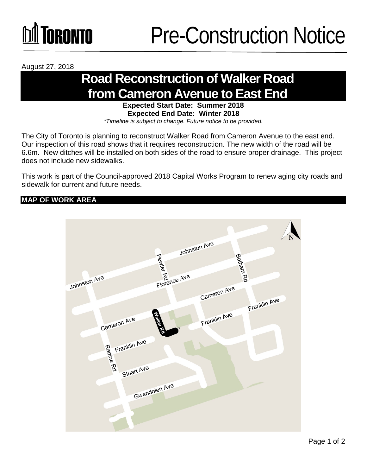## TORONTO

August 27, 2018

### **Road Reconstruction of Walker Road from Cameron Avenue to East End**

**Expected Start Date: Summer 2018 Expected End Date: Winter 2018** 

*\*Timeline is subject to change. Future notice to be provided.*

The City of Toronto is planning to reconstruct Walker Road from Cameron Avenue to the east end. Our inspection of this road shows that it requires reconstruction. The new width of the road will be 6.6m. New ditches will be installed on both sides of the road to ensure proper drainage. This project does not include new sidewalks.

This work is part of the Council-approved 2018 Capital Works Program to renew aging city roads and sidewalk for current and future needs.

#### **MAP OF WORK AREA**